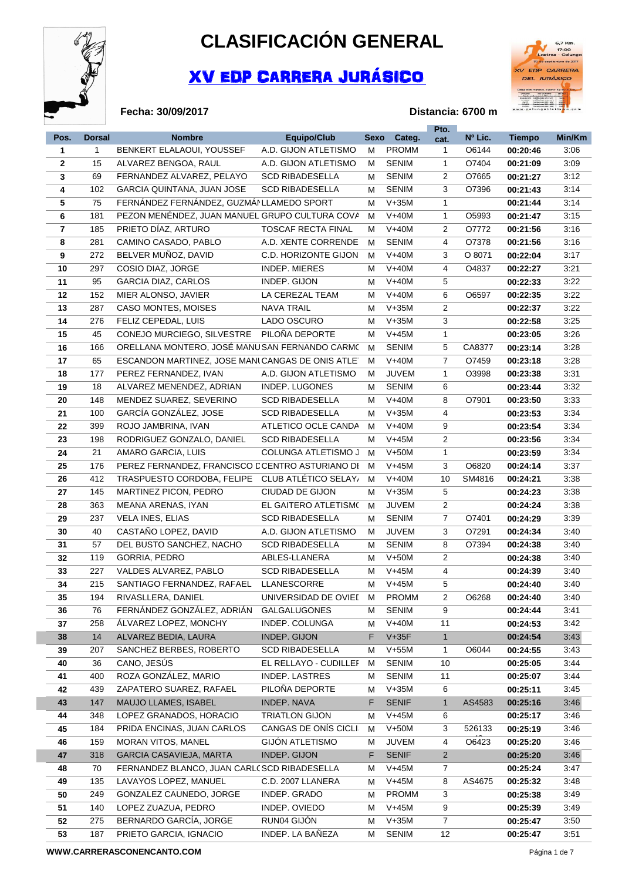

**Fecha: 30/09/2017**

## **CLASIFICACIÓN GENERAL**

## XV EDP CARRERA JURÁSICO



## **Distancia: 6700 m**

|              |               |                                                  |                                                |    |                         | Pto.           |                 |                      |              |
|--------------|---------------|--------------------------------------------------|------------------------------------------------|----|-------------------------|----------------|-----------------|----------------------|--------------|
| Pos.         | <b>Dorsal</b> | <b>Nombre</b>                                    | <b>Equipo/Club</b>                             |    | Sexo Categ.             | cat.           | Nº Lic.         | <b>Tiempo</b>        | Min/Km       |
| 1            | 1             | BENKERT ELALAOUI, YOUSSEF                        | A.D. GIJON ATLETISMO                           | М  | <b>PROMM</b>            | $\mathbf{1}$   | O6144           | 00:20:46             | 3:06         |
| $\mathbf{2}$ | 15            | ALVAREZ BENGOA, RAUL                             | A.D. GIJON ATLETISMO                           | м  | <b>SENIM</b>            | $\mathbf{1}$   | O7404           | 00:21:09             | 3:09         |
| 3            | 69            | FERNANDEZ ALVAREZ, PELAYO                        | <b>SCD RIBADESELLA</b>                         | м  | <b>SENIM</b>            | 2              | O7665           | 00:21:27             | 3:12         |
| 4            | 102           | GARCIA QUINTANA, JUAN JOSE                       | <b>SCD RIBADESELLA</b>                         | M  | <b>SENIM</b>            | 3              | O7396           | 00:21:43             | 3:14         |
| 5            | 75            | FERNÁNDEZ FERNÁNDEZ, GUZMÁNLLAMEDO SPORT         |                                                | м  | $V+35M$                 | $\mathbf{1}$   |                 | 00:21:44             | 3:14         |
| 6            | 181           | PEZON MENÉNDEZ, JUAN MANUEL GRUPO CULTURA COVA   |                                                | м  | $V+40M$                 | 1              | O5993           | 00:21:47             | 3:15         |
| 7            | 185           | PRIETO DÍAZ, ARTURO                              | <b>TOSCAF RECTA FINAL</b>                      | м  | $V+40M$                 | 2              | 07772           | 00:21:56             | 3:16         |
| 8            | 281           | CAMINO CASADO, PABLO                             | A.D. XENTE CORRENDE                            | м  | <b>SENIM</b>            | 4              | O7378           | 00:21:56             | 3:16         |
| 9            | 272           | BELVER MUÑOZ, DAVID                              | C.D. HORIZONTE GIJON                           | M  | $V+40M$                 | 3              | O 8071          | 00:22:04             | 3:17         |
| 10           | 297           | COSIO DIAZ, JORGE                                | <b>INDEP. MIERES</b>                           | M  | $V+40M$                 | 4              | O4837           | 00:22:27             | 3:21         |
| 11           | 95            | <b>GARCIA DIAZ, CARLOS</b>                       | INDEP. GIJON                                   | м  | $V+40M$                 | 5              |                 | 00:22:33             | 3:22         |
| 12           | 152           | MIER ALONSO, JAVIER                              | LA CEREZAL TEAM                                | м  | $V+40M$                 | 6              | O6597           | 00:22:35             | 3:22         |
| 13           | 287           | CASO MONTES, MOISES                              | <b>NAVA TRAIL</b>                              | м  | $V+35M$                 | 2              |                 | 00:22:37             | 3:22         |
| 14           | 276           | FELIZ CEPEDAL, LUIS                              | LADO OSCURO                                    | м  | $V+35M$                 | 3              |                 | 00:22:58             | 3:25         |
| 15           | 45            | CONEJO MURCIEGO, SILVESTRE                       | PILOÑA DEPORTE                                 | м  | $V+45M$                 | 1              |                 | 00:23:05             | 3:26         |
| 16           | 166           | ORELLANA MONTERO, JOSÉ MANUSAN FERNANDO CARMO    |                                                | м  | <b>SENIM</b>            | 5              | CA8377          | 00:23:14             | 3:28         |
| 17           | 65            | ESCANDON MARTINEZ, JOSE MANICANGAS DE ONIS ATLET |                                                | м  | $V+40M$                 | $\overline{7}$ | O7459           | 00:23:18             | 3:28         |
| 18           | 177           | PEREZ FERNANDEZ, IVAN                            | A.D. GIJON ATLETISMO                           | м  | <b>JUVEM</b>            | $\mathbf{1}$   | O3998           | 00:23:38             | 3:31         |
| 19           | 18            | ALVAREZ MENENDEZ, ADRIAN                         | <b>INDEP. LUGONES</b>                          | M  | <b>SENIM</b>            | 6              |                 | 00:23:44             | 3:32         |
| 20           | 148           | MENDEZ SUAREZ, SEVERINO                          | <b>SCD RIBADESELLA</b>                         | M  | $V+40M$                 | 8              | O7901           | 00:23:50             | 3:33         |
| 21           | 100           | GARCÍA GONZÁLEZ, JOSE                            | <b>SCD RIBADESELLA</b>                         | м  | $V+35M$                 | 4              |                 | 00:23:53             | 3:34         |
| 22           | 399           | ROJO JAMBRINA, IVAN                              | ATLETICO OCLE CANDA                            | м  | $V+40M$                 | 9              |                 | 00:23:54             | 3:34         |
| 23           | 198           | RODRIGUEZ GONZALO, DANIEL                        | <b>SCD RIBADESELLA</b>                         | м  | $V+45M$                 | 2              |                 | 00:23:56             | 3:34         |
| 24           | 21            | AMARO GARCIA, LUIS                               | COLUNGA ATLETISMO J                            | м  | $V+50M$                 | 1              |                 | 00:23:59             | 3:34         |
| 25           | 176           | PEREZ FERNANDEZ, FRANCISCO E CENTRO ASTURIANO DI |                                                | м  | $V+45M$                 | 3              | O6820           | 00:24:14             | 3:37         |
| 26           | 412           | TRASPUESTO CORDOBA, FELIPE                       | CLUB ATLÉTICO SELAY.                           | м  | $V+40M$                 | 10             | SM4816          | 00:24:21             | 3:38         |
| 27           | 145           | MARTINEZ PICON, PEDRO                            | CIUDAD DE GIJON                                | м  | $V+35M$                 | 5              |                 | 00:24:23             | 3:38         |
| 28           | 363           | MEANA ARENAS, IYAN                               | EL GAITERO ATLETISMO                           | м  | <b>JUVEM</b>            | $\overline{2}$ |                 | 00:24:24             | 3:38         |
| 29           | 237           | <b>VELA INES, ELIAS</b>                          | <b>SCD RIBADESELLA</b>                         | M  | <b>SENIM</b>            | $\overline{7}$ | O7401           | 00:24:29             | 3:39         |
| 30           | 40            | CASTAÑO LOPEZ, DAVID                             | A.D. GIJON ATLETISMO                           | м  | <b>JUVEM</b>            | 3              | O7291           | 00:24:34             | 3:40         |
| 31           | 57            | DEL BUSTO SANCHEZ, NACHO                         | <b>SCD RIBADESELLA</b>                         | м  | <b>SENIM</b>            | 8              | O7394           | 00:24:38             | 3:40         |
| 32           | 119           | GORRIA, PEDRO                                    | ABLES-LLANERA                                  | м  | $V+50M$                 | $\overline{2}$ |                 | 00:24:38             | 3:40         |
| 33           | 227           | VALDES ALVAREZ, PABLO                            | <b>SCD RIBADESELLA</b>                         | M  | $V+45M$                 | 4              |                 | 00:24:39             | 3:40         |
| 34           | 215           | SANTIAGO FERNANDEZ, RAFAEL                       | LLANESCORRE                                    | м  | $V+45M$                 | 5              |                 | 00:24:40             | 3:40         |
|              | 194           | RIVASLLERA, DANIEL                               | UNIVERSIDAD DE OVIEI                           | M  | <b>PROMM</b>            | 2              | O6268           |                      | 3:40         |
| 35           | 76            | FERNÁNDEZ GONZÁLEZ, ADRIÁN                       | <b>GALGALUGONES</b>                            | M  | <b>SENIM</b>            | 9              |                 | 00:24:40<br>00:24:44 | 3:41         |
| 36<br>37     | 258           | ÁLVAREZ LOPEZ, MONCHY                            | INDEP. COLUNGA                                 | M  | $V+40M$                 | 11             |                 | 00:24:53             | 3:42         |
| 38           | 14            | ALVAREZ BEDIA, LAURA                             | INDEP. GIJON                                   | F  | $V+35F$                 | $\mathbf{1}$   |                 | 00:24:54             | 3:43         |
| 39           | 207           | SANCHEZ BERBES, ROBERTO                          | <b>SCD RIBADESELLA</b>                         | M  | $V+55M$                 | 1              | O6044           | 00:24:55             | 3:43         |
| 40           | 36            | CANO, JESÚS                                      | EL RELLAYO - CUDILLEI                          | м  | <b>SENIM</b>            | 10             |                 | 00:25:05             | 3:44         |
| 41           | 400           | ROZA GONZÁLEZ, MARIO                             | <b>INDEP. LASTRES</b>                          | M  | <b>SENIM</b>            | 11             |                 | 00:25:07             | 3:44         |
| 42           | 439           | ZAPATERO SUAREZ, RAFAEL                          | PILOÑA DEPORTE                                 | M  | $V+35M$                 | 6              |                 | 00:25:11             | 3:45         |
| 43           | 147           | MAUJO LLAMES, ISABEL                             | INDEP. NAVA                                    | F  | <b>SENIF</b>            | $\mathbf{1}$   | AS4583          | 00:25:16             | 3:46         |
| 44           | 348           | LOPEZ GRANADOS, HORACIO                          | <b>TRIATLON GIJON</b>                          | M  | $V+45M$                 | 6              |                 | 00:25:17             | 3:46         |
|              |               |                                                  |                                                |    |                         |                |                 |                      |              |
| 45           | 184<br>159    | PRIDA ENCINAS, JUAN CARLOS<br>MORAN VITOS, MANEL | CANGAS DE ONÍS CICLI<br><b>GIJÓN ATLETISMO</b> | м  | $V+50M$<br><b>JUVEM</b> | 3              | 526133<br>O6423 | 00:25:19             | 3:46<br>3:46 |
| 46           |               |                                                  |                                                | M  |                         | 4              |                 | 00:25:20             |              |
| 47           | 318           | <b>GARCIA CASAVIEJA, MARTA</b>                   | INDEP. GIJON                                   | F. | <b>SENIF</b>            | $\overline{2}$ |                 | 00:25:20             | 3:46         |
| 48           | 70            | FERNANDEZ BLANCO, JUAN CARL(SCD RIBADESELLA      |                                                | M  | $V+45M$                 | 7              |                 | 00:25:24             | 3:47         |
| 49           | 135           | LAVAYOS LOPEZ, MANUEL                            | C.D. 2007 LLANERA                              | м  | $V+45M$                 | 8              | AS4675          | 00:25:32             | 3:48         |
| 50           | 249           | GONZALEZ CAUNEDO, JORGE                          | INDEP. GRADO                                   | M  | <b>PROMM</b>            | 3              |                 | 00:25:38             | 3:49         |
| 51           | 140           | LOPEZ ZUAZUA, PEDRO                              | INDEP. OVIEDO                                  | M  | $V+45M$                 | 9              |                 | 00:25:39             | 3:49         |
| 52           | 275           | BERNARDO GARCÍA, JORGE                           | RUN04 GIJÓN                                    | M  | $V+35M$                 | $\overline{7}$ |                 | 00:25:47             | 3:50         |
| 53           | 187           | PRIETO GARCIA, IGNACIO                           | INDEP. LA BAÑEZA                               | М  | <b>SENIM</b>            | 12             |                 | 00:25:47             | 3:51         |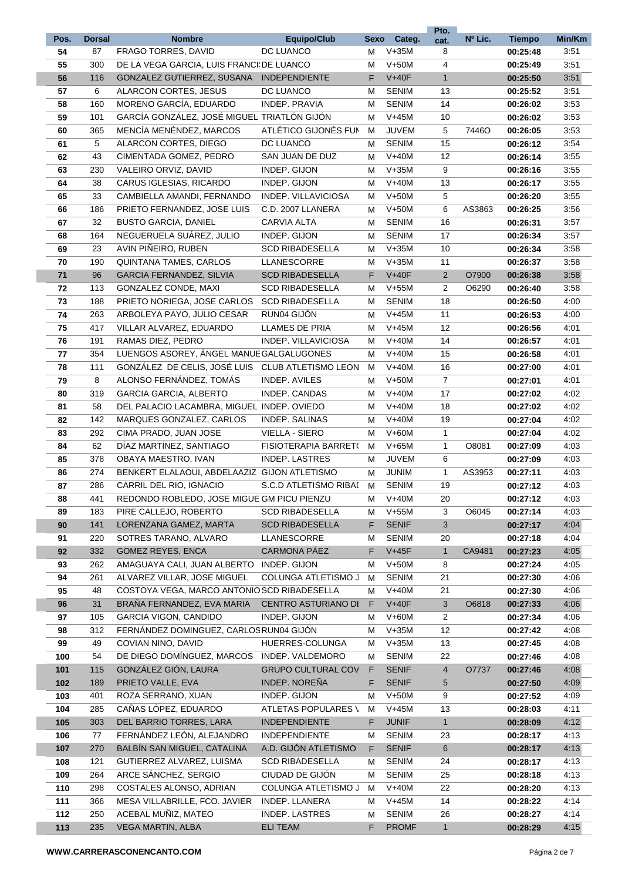|      |               |                                              |                            |    |              | Pto.           |         |               |        |
|------|---------------|----------------------------------------------|----------------------------|----|--------------|----------------|---------|---------------|--------|
| Pos. | <b>Dorsal</b> | <b>Nombre</b>                                | <b>Equipo/Club</b>         |    | Sexo Categ.  | cat.           | Nº Lic. | <b>Tiempo</b> | Min/Km |
| 54   | 87            | FRAGO TORRES, DAVID                          | DC LUANCO                  | M  | $V+35M$      | 8              |         | 00:25:48      | 3:51   |
| 55   | 300           | DE LA VEGA GARCIA, LUIS FRANCI: DE LUANCO    |                            | M  | $V+50M$      | $\overline{4}$ |         | 00:25:49      | 3:51   |
| 56   | 116           | GONZALEZ GUTIERREZ, SUSANA                   | <b>INDEPENDIENTE</b>       | F  | $V+40F$      | $\mathbf{1}$   |         | 00:25:50      | 3:51   |
| 57   | 6             | ALARCON CORTES, JESUS                        | DC LUANCO                  | M  | <b>SENIM</b> | 13             |         | 00:25:52      | 3:51   |
| 58   | 160           | MORENO GARCÍA, EDUARDO                       | <b>INDEP, PRAVIA</b>       |    | <b>SENIM</b> | 14             |         | 00:26:02      | 3:53   |
|      |               |                                              |                            | M  |              |                |         |               |        |
| 59   | 101           | GARCÍA GONZÁLEZ, JOSÉ MIGUEL TRIATLÓN GIJÓN  |                            | м  | $V+45M$      | 10             |         | 00:26:02      | 3:53   |
| 60   | 365           | MENCÍA MENÉNDEZ, MARCOS                      | ATLÉTICO GIJONÉS FUN       | м  | <b>JUVEM</b> | 5              | 7446O   | 00:26:05      | 3:53   |
| 61   | 5             | ALARCON CORTES, DIEGO                        | DC LUANCO                  | M  | <b>SENIM</b> | 15             |         | 00:26:12      | 3:54   |
| 62   | 43            | CIMENTADA GOMEZ, PEDRO                       | SAN JUAN DE DUZ            | M  | $V+40M$      | 12             |         | 00:26:14      | 3:55   |
| 63   | 230           | VALEIRO ORVIZ, DAVID                         | INDEP. GIJON               | M  | $V+35M$      | 9              |         | 00:26:16      | 3:55   |
| 64   | 38            | CARUS IGLESIAS, RICARDO                      | INDEP. GIJON               | м  | $V+40M$      | 13             |         | 00:26:17      | 3:55   |
| 65   | 33            | CAMBIELLA AMANDI, FERNANDO                   | INDEP. VILLAVICIOSA        | M  | $V+50M$      | 5              |         | 00:26:20      | 3:55   |
| 66   | 186           | PRIETO FERNANDEZ, JOSE LUIS                  | C.D. 2007 LLANERA          |    | $V+50M$      | 6              | AS3863  | 00:26:25      | 3:56   |
|      |               |                                              |                            | M  |              |                |         |               |        |
| 67   | 32            | <b>BUSTO GARCIA, DANIEL</b>                  | <b>CARVIA ALTA</b>         | м  | <b>SENIM</b> | 16             |         | 00:26:31      | 3:57   |
| 68   | 164           | NEGUERUELA SUÁREZ, JULIO                     | INDEP. GIJON               | M  | <b>SENIM</b> | 17             |         | 00:26:34      | 3:57   |
| 69   | 23            | AVIN PIÑEIRO, RUBEN                          | <b>SCD RIBADESELLA</b>     | M  | $V+35M$      | 10             |         | 00:26:34      | 3:58   |
| 70   | 190           | QUINTANA TAMES, CARLOS                       | LLANESCORRE                | M  | $V+35M$      | 11             |         | 00:26:37      | 3:58   |
| 71   | 96            | <b>GARCIA FERNANDEZ, SILVIA</b>              | <b>SCD RIBADESELLA</b>     | F  | $V+40F$      | $\overline{2}$ | O7900   | 00:26:38      | 3:58   |
| 72   | 113           | GONZALEZ CONDE, MAXI                         | <b>SCD RIBADESELLA</b>     | M  | $V+55M$      | 2              | O6290   | 00:26:40      | 3:58   |
| 73   | 188           | PRIETO NORIEGA, JOSE CARLOS                  | <b>SCD RIBADESELLA</b>     | M  | <b>SENIM</b> | 18             |         | 00:26:50      | 4:00   |
| 74   | 263           | ARBOLEYA PAYO, JULIO CESAR                   | RUN04 GIJÓN                | м  | $V+45M$      | 11             |         | 00:26:53      | 4:00   |
|      |               |                                              |                            |    |              |                |         |               |        |
| 75   | 417           | VILLAR ALVAREZ, EDUARDO                      | LLAMES DE PRIA             | M  | $V+45M$      | 12             |         | 00:26:56      | 4:01   |
| 76   | 191           | RAMAS DIEZ, PEDRO                            | INDEP. VILLAVICIOSA        | M  | $V+40M$      | 14             |         | 00:26:57      | 4:01   |
| 77   | 354           | LUENGOS ASOREY, ÁNGEL MANUE GALGALUGONES     |                            | M  | $V+40M$      | 15             |         | 00:26:58      | 4:01   |
| 78   | 111           | GONZÁLEZ DE CELIS, JOSÉ LUIS                 | <b>CLUB ATLETISMO LEON</b> | м  | $V+40M$      | 16             |         | 00:27:00      | 4:01   |
| 79   | 8             | ALONSO FERNÁNDEZ, TOMÁS                      | INDEP. AVILES              | M  | $V+50M$      | $\overline{7}$ |         | 00:27:01      | 4:01   |
| 80   | 319           | <b>GARCIA GARCIA, ALBERTO</b>                | INDEP. CANDAS              | M  | $V+40M$      | 17             |         | 00:27:02      | 4:02   |
| 81   | 58            | DEL PALACIO LACAMBRA, MIGUEL INDEP. OVIEDO   |                            | M  | $V+40M$      | 18             |         | 00:27:02      | 4:02   |
| 82   | 142           | MARQUES GONZALEZ, CARLOS                     | INDEP. SALINAS             | M  | $V+40M$      | 19             |         | 00:27:04      | 4:02   |
|      |               |                                              |                            |    |              |                |         |               |        |
| 83   | 292           | CIMA PRADO, JUAN JOSE                        | <b>VIELLA - SIERO</b>      | м  | $V+60M$      | $\mathbf{1}$   |         | 00:27:04      | 4:02   |
| 84   | 62            | DÍAZ MARTÍNEZ, SANTIAGO                      | FISIOTERAPIA BARRET(       | М  | $V+65M$      | $\mathbf{1}$   | O8081   | 00:27:09      | 4:03   |
| 85   | 378           | OBAYA MAESTRO, IVAN                          | <b>INDEP. LASTRES</b>      | м  | <b>JUVEM</b> | 6              |         | 00:27:09      | 4:03   |
| 86   | 274           | BENKERT ELALAOUI, ABDELAAZIZ GIJON ATLETISMO |                            | м  | <b>JUNIM</b> | $\mathbf{1}$   | AS3953  | 00:27:11      | 4:03   |
| 87   | 286           | CARRIL DEL RIO, IGNACIO                      | S.C.D ATLETISMO RIBAI      | M  | <b>SENIM</b> | 19             |         | 00:27:12      | 4:03   |
| 88   | 441           | REDONDO ROBLEDO, JOSE MIGUE GM PICU PIENZU   |                            | M  | $V+40M$      | 20             |         | 00:27:12      | 4:03   |
| 89   | 183           | PIRE CALLEJO, ROBERTO                        | <b>SCD RIBADESELLA</b>     | м  | $V+55M$      | 3              | O6045   | 00:27:14      | 4:03   |
| 90   | 141           | LORENZANA GAMEZ, MARTA                       | <b>SCD RIBADESELLA</b>     | F  | <b>SENIF</b> | 3              |         | 00:27:17      | 4:04   |
|      |               |                                              |                            |    |              |                |         |               |        |
| 91   | 220           | SOTRES TARANO, ALVARO                        | LLANESCORRE                | M  | <b>SENIM</b> | 20             |         | 00:27:18      | 4:04   |
| 92   | 332           | <b>GOMEZ REYES, ENCA</b>                     | CARMONA PÁEZ               | F  | $V+45F$      | $\mathbf{1}$   | CA9481  | 00:27:23      | 4:05   |
| 93   | 262           | AMAGUAYA CALI, JUAN ALBERTO                  | INDEP. GIJON               | M  | $V+50M$      | 8              |         | 00:27:24      | 4:05   |
| 94   | 261           | ALVAREZ VILLAR, JOSE MIGUEL                  | COLUNGA ATLETISMO J        | м  | <b>SENIM</b> | 21             |         | 00:27:30      | 4:06   |
| 95   | 48            | COSTOYA VEGA, MARCO ANTONIO SCD RIBADESELLA  |                            | м  | $V+40M$      | 21             |         | 00:27:30      | 4:06   |
| 96   | 31            | BRAÑA FERNANDEZ, EVA MARIA                   | CENTRO ASTURIANO DI        | F  | $V+40F$      | 3              | O6818   | 00:27:33      | 4:06   |
| 97   | 105           | <b>GARCIA VIGON, CANDIDO</b>                 | INDEP. GIJON               | M  | $V+60M$      | $\overline{2}$ |         | 00:27:34      | 4:06   |
| 98   | 312           | FERNÁNDEZ DOMINGUEZ, CARLOS RUN04 GIJÓN      |                            | M  | $V+35M$      | 12             |         | 00:27:42      | 4:08   |
| 99   | 49            | COVIAN NINO, DAVID                           | HUERRES-COLUNGA            | M  | $V+35M$      | 13             |         | 00:27:45      | 4:08   |
|      |               |                                              |                            |    |              |                |         |               |        |
| 100  | 54            | DE DIEGO DOMÍNGUEZ, MARCOS                   | INDEP. VALDEMORO           | м  | <b>SENIM</b> | 22             |         | 00:27:46      | 4:08   |
| 101  | 115           | GONZÁLEZ GIÓN, LAURA                         | <b>GRUPO CULTURAL COV</b>  | F. | <b>SENIF</b> | 4              | 07737   | 00:27:46      | 4:08   |
| 102  | 189           | PRIETO VALLE, EVA                            | INDEP. NOREÑA              | F  | <b>SENIF</b> | 5              |         | 00:27:50      | 4:09   |
| 103  | 401           | ROZA SERRANO, XUAN                           | INDEP. GIJON               | M  | $V+50M$      | 9              |         | 00:27:52      | 4:09   |
| 104  | 285           | CAÑAS LÓPEZ, EDUARDO                         | ATLETAS POPULARES \        | М  | $V+45M$      | 13             |         | 00:28:03      | 4:11   |
| 105  | 303           | DEL BARRIO TORRES, LARA                      | <b>INDEPENDIENTE</b>       | F. | <b>JUNIF</b> | $\mathbf{1}$   |         | 00:28:09      | 4:12   |
| 106  | 77            | FERNÁNDEZ LEÓN, ALEJANDRO                    | <b>INDEPENDIENTE</b>       | М  | <b>SENIM</b> | 23             |         | 00:28:17      | 4:13   |
| 107  | 270           | BALBIN SAN MIGUEL, CATALINA                  | A.D. GIJON ATLETISMO       | F  | <b>SENIF</b> | 6              |         | 00:28:17      | 4:13   |
|      |               |                                              |                            |    |              |                |         |               |        |
| 108  | 121           | GUTIERREZ ALVAREZ, LUISMA                    | <b>SCD RIBADESELLA</b>     | M  | <b>SENIM</b> | 24             |         | 00:28:17      | 4:13   |
| 109  | 264           | ARCE SÁNCHEZ, SERGIO                         | CIUDAD DE GIJÓN            | M  | <b>SENIM</b> | 25             |         | 00:28:18      | 4:13   |
| 110  | 298           | COSTALES ALONSO, ADRIAN                      | COLUNGA ATLETISMO J        | M  | $V+40M$      | 22             |         | 00:28:20      | 4:13   |
| 111  | 366           | MESA VILLABRILLE, FCO. JAVIER                | INDEP. LLANERA             | м  | $V+45M$      | 14             |         | 00:28:22      | 4:14   |
| 112  | 250           | ACEBAL MUNIZ, MATEO                          | <b>INDEP. LASTRES</b>      | M  | <b>SENIM</b> | 26             |         | 00:28:27      | 4:14   |
| 113  | 235           | VEGA MARTIN, ALBA                            | <b>ELI TEAM</b>            | F  | <b>PROMF</b> | $\mathbf{1}$   |         | 00:28:29      | 4:15   |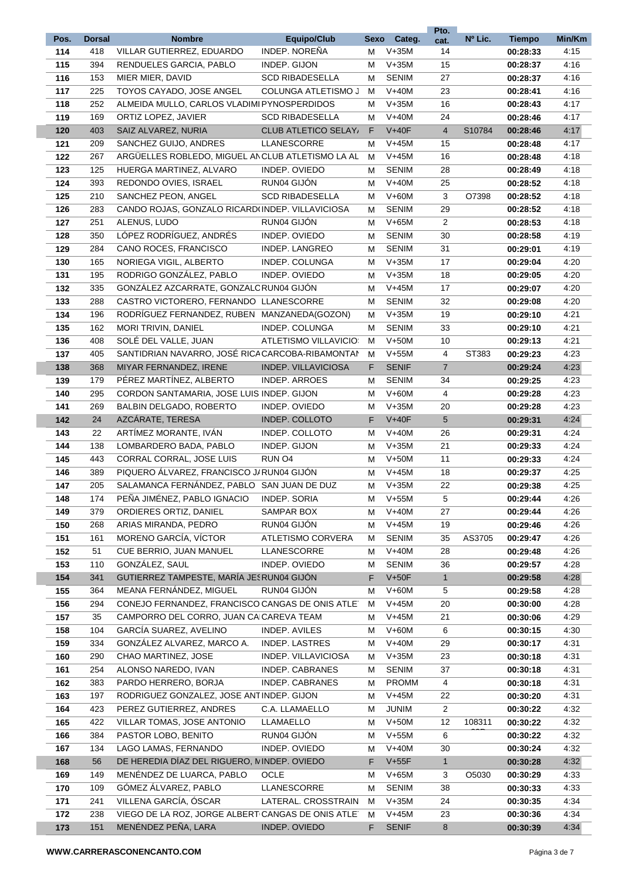|      |               |                                                    |                             |             |              | Pto.           |                    |               |        |
|------|---------------|----------------------------------------------------|-----------------------------|-------------|--------------|----------------|--------------------|---------------|--------|
| Pos. | <b>Dorsal</b> | <b>Nombre</b>                                      | <b>Equipo/Club</b>          | <b>Sexo</b> | Categ.       | cat.           | Nº Lic.            | <b>Tiempo</b> | Min/Km |
| 114  | 418           | VILLAR GUTIERREZ, EDUARDO                          | <b>INDEP. NOREÑA</b>        | М           | $V+35M$      | 14             |                    | 00:28:33      | 4:15   |
| 115  | 394           | RENDUELES GARCIA, PABLO                            | INDEP. GIJON                | M           | $V+35M$      | 15             |                    | 00:28:37      | 4:16   |
| 116  | 153           | MIER MIER, DAVID                                   | <b>SCD RIBADESELLA</b>      | М           | <b>SENIM</b> | 27             |                    | 00:28:37      | 4:16   |
| 117  | 225           | TOYOS CAYADO, JOSE ANGEL                           | COLUNGA ATLETISMO J         | м           | $V+40M$      | 23             |                    | 00:28:41      | 4:16   |
| 118  | 252           | ALMEIDA MULLO, CARLOS VLADIMI PYNOSPERDIDOS        |                             | М           | $V+35M$      | 16             |                    | 00:28:43      | 4:17   |
| 119  | 169           | ORTIZ LOPEZ, JAVIER                                | <b>SCD RIBADESELLA</b>      | м           | $V+40M$      | 24             |                    | 00:28:46      | 4:17   |
| 120  | 403           | SAIZ ALVAREZ, NURIA                                | <b>CLUB ATLETICO SELAY,</b> | F.          | $V+40F$      | $\overline{4}$ | S10784             | 00:28:46      | 4:17   |
| 121  | 209           | SANCHEZ GUIJO, ANDRES                              | LLANESCORRE                 | М           | $V+45M$      | 15             |                    | 00:28:48      | 4:17   |
| 122  | 267           | ARGÜELLES ROBLEDO, MIGUEL AN CLUB ATLETISMO LA AL  |                             | м           | $V+45M$      | 16             |                    | 00:28:48      | 4:18   |
| 123  | 125           | HUERGA MARTINEZ, ALVARO                            | INDEP. OVIEDO               | м           | <b>SENIM</b> | 28             |                    | 00:28:49      | 4:18   |
| 124  | 393           | REDONDO OVIES, ISRAEL                              | RUN04 GIJÓN                 | м           | $V+40M$      | 25             |                    | 00:28:52      | 4:18   |
| 125  | 210           | SANCHEZ PEON, ANGEL                                | <b>SCD RIBADESELLA</b>      | М           | $V+60M$      | 3              | O7398              | 00:28:52      | 4:18   |
| 126  | 283           | CANDO ROJAS, GONZALO RICARD(INDEP. VILLAVICIOSA    |                             | M           | SENIM        | 29             |                    | 00:28:52      | 4:18   |
| 127  | 251           | ALENUS, LUDO                                       | RUN04 GIJÓN                 | м           | $V+65M$      | 2              |                    | 00:28:53      | 4:18   |
| 128  | 350           | LÓPEZ RODRÍGUEZ, ANDRÉS                            | INDEP. OVIEDO               | M           | <b>SENIM</b> | 30             |                    | 00:28:58      | 4:19   |
| 129  | 284           | CANO ROCES, FRANCISCO                              | INDEP. LANGREO              | M           | <b>SENIM</b> | 31             |                    | 00:29:01      | 4:19   |
| 130  | 165           | NORIEGA VIGIL, ALBERTO                             | INDEP. COLUNGA              | Μ           | $V+35M$      | 17             |                    | 00:29:04      | 4:20   |
| 131  | 195           | RODRIGO GONZÁLEZ, PABLO                            | INDEP. OVIEDO               | Μ           | $V+35M$      | 18             |                    | 00:29:05      | 4:20   |
| 132  | 335           | GONZÁLEZ AZCARRATE, GONZALC RUN04 GIJÓN            |                             | Μ           | $V+45M$      | 17             |                    | 00:29:07      | 4:20   |
| 133  | 288           | CASTRO VICTORERO, FERNANDO LLANESCORRE             |                             | M           | <b>SENIM</b> | 32             |                    | 00:29:08      | 4:20   |
| 134  | 196           | RODRÍGUEZ FERNANDEZ, RUBEN MANZANEDA(GOZON)        |                             | м           | $V+35M$      | 19             |                    | 00:29:10      | 4:21   |
| 135  | 162           | MORI TRIVIN, DANIEL                                | INDEP. COLUNGA              | м           | <b>SENIM</b> | 33             |                    | 00:29:10      | 4:21   |
| 136  | 408           | SOLÉ DEL VALLE, JUAN                               | ATLETISMO VILLAVICIO        | м           | $V+50M$      | 10             |                    | 00:29:13      | 4:21   |
|      | 405           | SANTIDRIAN NAVARRO, JOSÉ RICA CARCOBA-RIBAMONTAI   |                             | M           | $V+55M$      | 4              | ST383              |               | 4:23   |
| 137  |               |                                                    |                             |             |              |                |                    | 00:29:23      |        |
| 138  | 368           | MIYAR FERNANDEZ, IRENE                             | <b>INDEP. VILLAVICIOSA</b>  | F           | <b>SENIF</b> | $\overline{7}$ |                    | 00:29:24      | 4:23   |
| 139  | 179           | PÉREZ MARTÍNEZ, ALBERTO                            | <b>INDEP. ARROES</b>        | M           | <b>SENIM</b> | 34             |                    | 00:29:25      | 4:23   |
| 140  | 295           | CORDON SANTAMARIA, JOSE LUIS INDEP. GIJON          |                             | м           | $V+60M$      | 4              |                    | 00:29:28      | 4:23   |
| 141  | 269           | BALBIN DELGADO, ROBERTO                            | INDEP. OVIEDO               | м           | $V+35M$      | 20             |                    | 00:29:28      | 4:23   |
| 142  | 24            | AZCÁRATE, TERESA                                   | INDEP. COLLOTO              | F           | $V+40F$      | 5              |                    | 00:29:31      | 4:24   |
| 143  | 22            | ARTIMEZ MORANTE, IVAN                              | INDEP. COLLOTO              | м           | $V+40M$      | 26             |                    | 00:29:31      | 4:24   |
| 144  | 138           | LOMBARDERO BADA, PABLO                             | INDEP. GIJON                | м           | $V+35M$      | 21             |                    | 00:29:33      | 4:24   |
| 145  | 443           | CORRAL CORRAL, JOSE LUIS                           | RUN <sub>O4</sub>           | м           | $V+50M$      | 11             |                    | 00:29:33      | 4:24   |
| 146  | 389           | PIQUERO ALVAREZ, FRANCISCO J/RUN04 GIJON           |                             | М           | $V+45M$      | 18             |                    | 00:29:37      | 4:25   |
| 147  | 205           | SALAMANCA FERNÁNDEZ, PABLO SAN JUAN DE DUZ         |                             | М           | $V+35M$      | 22             |                    | 00:29:38      | 4:25   |
| 148  | 174           | PEÑA JIMÉNEZ, PABLO IGNACIO                        | INDEP. SORIA                | М           | $V+55M$      | 5              |                    | 00:29:44      | 4:26   |
| 149  | 379           | ORDIERES ORTIZ, DANIEL                             | SAMPAR BOX                  | Μ           | $V+40M$      | 27             |                    | 00:29:44      | 4:26   |
| 150  | 268           | ARIAS MIRANDA, PEDRO                               | RUN04 GIJÓN                 | М           | $V+45M$      | 19             |                    | 00:29:46      | 4:26   |
| 151  | 161           | MORENO GARCÍA, VÍCTOR                              | <b>ATLETISMO CORVERA</b>    | м           | <b>SENIM</b> | 35             | AS3705             | 00:29:47      | 4:26   |
| 152  | 51            | CUE BERRIO, JUAN MANUEL                            | LLANESCORRE                 | м           | $V+40M$      | 28             |                    | 00:29:48      | 4:26   |
| 153  | 110           | GONZÁLEZ, SAUL                                     | INDEP. OVIEDO               | M           | <b>SENIM</b> | 36             |                    | 00:29:57      | 4:28   |
| 154  | 341           | GUTIERREZ TAMPESTE, MARÍA JES RUN04 GIJÓN          |                             | F.          | $V+50F$      | $\mathbf{1}$   |                    | 00:29:58      | 4:28   |
| 155  | 364           | MEANA FERNÁNDEZ, MIGUEL                            | RUN04 GIJÓN                 | M           | $V+60M$      | 5              |                    | 00:29:58      | 4:28   |
| 156  | 294           | CONEJO FERNANDEZ, FRANCISCO CANGAS DE ONIS ATLET   |                             | м           | $V+45M$      | 20             |                    | 00:30:00      | 4:28   |
| 157  | 35            | CAMPORRO DEL CORRO, JUAN CA CAREVA TEAM            |                             | М           | $V+45M$      | 21             |                    | 00:30:06      | 4:29   |
| 158  | 104           | GARCÍA SUAREZ, AVELINO                             | INDEP. AVILES               | М           | $V+60M$      | 6              |                    | 00:30:15      | 4:30   |
| 159  | 334           | GONZALEZ ALVAREZ, MARCO A.                         | <b>INDEP. LASTRES</b>       | м           | $V+40M$      | 29             |                    | 00:30:17      | 4:31   |
| 160  | 290           | CHAO MARTINEZ, JOSE                                | INDEP. VILLAVICIOSA         | м           | $V+35M$      | 23             |                    | 00:30:18      | 4:31   |
| 161  | 254           | ALONSO NAREDO, IVAN                                | INDEP. CABRANES             | м           | SENIM        | 37             |                    | 00:30:18      | 4:31   |
| 162  | 383           | PARDO HERRERO, BORJA                               | INDEP. CABRANES             | M           | <b>PROMM</b> | 4              |                    | 00:30:18      | 4:31   |
| 163  | 197           | RODRIGUEZ GONZALEZ, JOSE ANTINDEP. GIJON           |                             | M           | $V+45M$      | 22             |                    | 00:30:20      | 4:31   |
| 164  | 423           | PEREZ GUTIERREZ, ANDRES                            | C.A. LLAMAELLO              | M           | <b>JUNIM</b> | 2              |                    | 00:30:22      | 4:32   |
| 165  | 422           | VILLAR TOMAS, JOSE ANTONIO                         | <b>LLAMAELLO</b>            |             | $V+50M$      | 12             | 108311             | 00:30:22      | 4:32   |
|      | 384           | PASTOR LOBO, BENITO                                | RUN04 GIJON                 | M           | $V+55M$      | 6              |                    | 00:30:22      | 4:32   |
| 166  |               |                                                    |                             | M           |              |                |                    |               |        |
| 167  | 134           | LAGO LAMAS, FERNANDO                               | INDEP. OVIEDO               | Μ           | $V+40M$      | 30             |                    | 00:30:24      | 4:32   |
| 168  | 56            | DE HEREDIA DÍAZ DEL RIGUERO, NINDEP. OVIEDO        |                             | F           | $V+55F$      | 1              |                    | 00:30:28      | 4:32   |
| 169  | 149           | MENÉNDEZ DE LUARCA, PABLO                          | OCLE                        | M           | $V+65M$      | 3              | O <sub>5</sub> 030 | 00:30:29      | 4:33   |
| 170  | 109           | GÓMEZ ÁLVAREZ, PABLO                               | LLANESCORRE                 | м           | <b>SENIM</b> | 38             |                    | 00:30:33      | 4:33   |
| 171  | 241           | VILLENA GARCÍA, ÓSCAR                              | LATERAL. CROSSTRAIN         | М           | $V+35M$      | 24             |                    | 00:30:35      | 4:34   |
| 172  | 238           | VIEGO DE LA ROZ, JORGE ALBERT CANGAS DE ONIS ATLET |                             | м           | $V+45M$      | 23             |                    | 00:30:36      | 4:34   |
| 173  | 151           | MENÉNDEZ PEÑA, LARA                                | INDEP. OVIEDO               | F.          | <b>SENIF</b> | 8              |                    | 00:30:39      | 4:34   |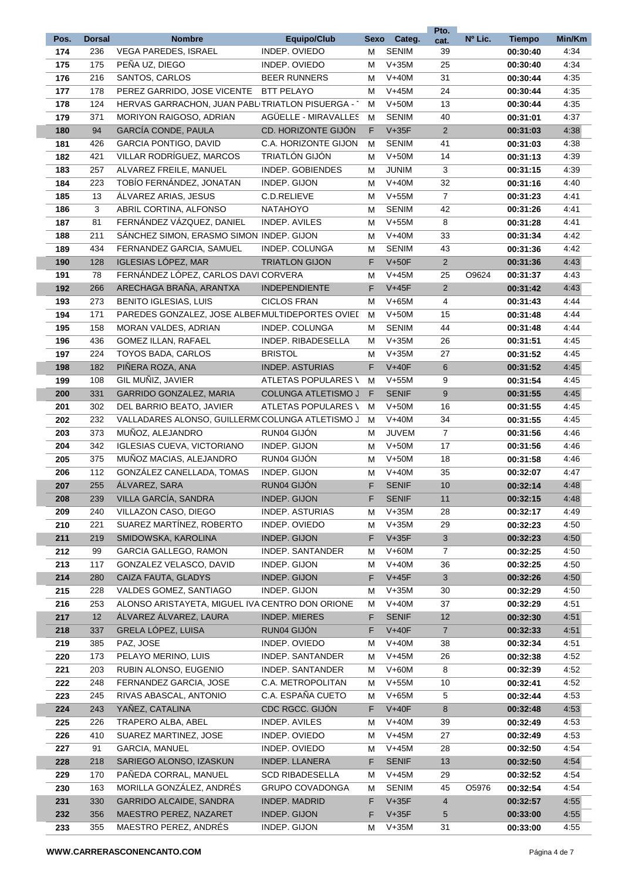|      |               |                                                 |                            |      |              | Pto.                      |         |               |        |
|------|---------------|-------------------------------------------------|----------------------------|------|--------------|---------------------------|---------|---------------|--------|
| Pos. | <b>Dorsal</b> | <b>Nombre</b>                                   | <b>Equipo/Club</b>         | Sexo | Categ.       | cat.                      | Nº Lic. | <b>Tiempo</b> | Min/Km |
| 174  | 236           | <b>VEGA PAREDES, ISRAEL</b>                     | INDEP. OVIEDO              | M    | <b>SENIM</b> | 39                        |         | 00:30:40      | 4:34   |
| 175  | 175           | PEÑA UZ, DIEGO                                  | INDEP. OVIEDO              | M    | $V+35M$      | 25                        |         | 00:30:40      | 4:34   |
| 176  | 216           | SANTOS, CARLOS                                  | <b>BEER RUNNERS</b>        | Μ    | $V+40M$      | 31                        |         | 00:30:44      | 4:35   |
| 177  | 178           | PEREZ GARRIDO, JOSE VICENTE                     | <b>BTT PELAYO</b>          | м    | $V+45M$      | 24                        |         | 00:30:44      | 4:35   |
| 178  | 124           | HERVAS GARRACHON, JUAN PABLITRIATLON PISUERGA - |                            | м    | $V+50M$      | 13                        |         | 00:30:44      | 4:35   |
| 179  | 371           | <b>MORIYON RAIGOSO, ADRIAN</b>                  | AGÜELLE - MIRAVALLES       | м    | <b>SENIM</b> | 40                        |         | 00:31:01      | 4:37   |
| 180  | 94            | GARCÍA CONDE, PAULA                             | CD. HORIZONTE GIJÓN        | F.   | $V+35F$      | 2                         |         | 00:31:03      | 4:38   |
| 181  | 426           | <b>GARCIA PONTIGO, DAVID</b>                    | C.A. HORIZONTE GIJON       | М    | <b>SENIM</b> | 41                        |         | 00:31:03      | 4:38   |
| 182  | 421           | VILLAR RODRÍGUEZ, MARCOS                        | TRIATLÓN GIJÓN             | м    | $V+50M$      | 14                        |         | 00:31:13      | 4:39   |
| 183  | 257           | ALVAREZ FREILE, MANUEL                          | INDEP. GOBIENDES           | М    | <b>JUNIM</b> | 3                         |         | 00:31:15      | 4:39   |
| 184  | 223           | TOBÍO FERNÁNDEZ, JONATAN                        | INDEP. GIJON               | M    | $V+40M$      | 32                        |         | 00:31:16      | 4:40   |
| 185  | 13            | ALVAREZ ARIAS, JESUS                            | C.D.RELIEVE                | M    | $V+55M$      | $\overline{7}$            |         | 00:31:23      | 4:41   |
| 186  | 3             | ABRIL CORTINA, ALFONSO                          | <b>NATAHOYO</b>            | M    | <b>SENIM</b> | 42                        |         | 00:31:26      | 4:41   |
| 187  | 81            | FERNÁNDEZ VÁZQUEZ, DANIEL                       | <b>INDEP. AVILES</b>       | Μ    | $V+55M$      | 8                         |         | 00:31:28      | 4:41   |
| 188  | 211           | SÁNCHEZ SIMON, ERASMO SIMON INDEP. GIJON        |                            | Μ    | $V+40M$      | 33                        |         | 00:31:34      | 4:42   |
| 189  | 434           | FERNANDEZ GARCIA, SAMUEL                        | INDEP. COLUNGA             | Μ    | <b>SENIM</b> | 43                        |         |               | 4:42   |
| 190  | 128           | <b>IGLESIAS LOPEZ, MAR</b>                      | <b>TRIATLON GIJON</b>      | F    | $V+50F$      | $\overline{2}$            |         | 00:31:36      | 4:43   |
|      |               |                                                 |                            |      |              |                           |         | 00:31:36      |        |
| 191  | 78            | FERNÁNDEZ LÓPEZ, CARLOS DAVI CORVERA            |                            | M    | $V+45M$      | 25                        | O9624   | 00:31:37      | 4:43   |
| 192  | 266           | ARECHAGA BRAÑA, ARANTXA                         | <b>INDEPENDIENTE</b>       | F    | $V+45F$      | $\overline{2}$            |         | 00:31:42      | 4:43   |
| 193  | 273           | <b>BENITO IGLESIAS, LUIS</b>                    | <b>CICLOS FRAN</b>         | М    | $V+65M$      | 4                         |         | 00:31:43      | 4:44   |
| 194  | 171           | PAREDES GONZALEZ, JOSE ALBERMULTIDEPORTES OVIEI |                            | M    | $V+50M$      | 15                        |         | 00:31:48      | 4:44   |
| 195  | 158           | MORAN VALDES, ADRIAN                            | <b>INDEP. COLUNGA</b>      | M    | SENIM        | 44                        |         | 00:31:48      | 4:44   |
| 196  | 436           | GOMEZ ILLAN, RAFAEL                             | INDEP. RIBADESELLA         | M    | $V+35M$      | 26                        |         | 00:31:51      | 4:45   |
| 197  | 224           | TOYOS BADA, CARLOS                              | <b>BRISTOL</b>             | M    | $V+35M$      | 27                        |         | 00:31:52      | 4:45   |
| 198  | 182           | PIÑERA ROZA, ANA                                | <b>INDEP. ASTURIAS</b>     | F    | $V+40F$      | $6\phantom{1}$            |         | 00:31:52      | 4:45   |
| 199  | 108           | GIL MUÑIZ, JAVIER                               | ATLETAS POPULARES \        | М    | $V+55M$      | 9                         |         | 00:31:54      | 4:45   |
| 200  | 331           | GARRIDO GONZALEZ, MARIA                         | <b>COLUNGA ATLETISMO J</b> | F    | <b>SENIF</b> | 9                         |         | 00:31:55      | 4:45   |
| 201  | 302           | DEL BARRIO BEATO, JAVIER                        | ATLETAS POPULARES \        | M    | $V+50M$      | 16                        |         | 00:31:55      | 4:45   |
| 202  | 232           | VALLADARES ALONSO, GUILLERM(COLUNGA ATLETISMO J |                            | м    | $V+40M$      | 34                        |         | 00:31:55      | 4:45   |
| 203  | 373           | MUÑOZ, ALEJANDRO                                | RUN04 GIJÓN                | М    | <b>JUVEM</b> | $\overline{7}$            |         | 00:31:56      | 4:46   |
| 204  | 342           | <b>IGLESIAS CUEVA, VICTORIANO</b>               | INDEP. GIJON               | м    | $V+50M$      | 17                        |         | 00:31:56      | 4:46   |
| 205  | 375           | MUÑOZ MACIAS, ALEJANDRO                         | RUN04 GIJÓN                | м    | $V+50M$      | 18                        |         | 00:31:58      | 4:46   |
| 206  | 112           | GONZÁLEZ CANELLADA, TOMAS                       | INDEP. GIJON               | M    | $V+40M$      | 35                        |         | 00:32:07      | 4:47   |
| 207  | 255           | ÁLVAREZ, SARA                                   | RUN04 GIJÓN                | F    | <b>SENIF</b> | 10                        |         | 00:32:14      | 4:48   |
| 208  | 239           | VILLA GARCÍA, SANDRA                            | INDEP. GIJON               | F    | <b>SENIF</b> | 11                        |         | 00:32:15      | 4:48   |
| 209  | 240           | VILLAZON CASO, DIEGO                            | <b>INDEP. ASTURIAS</b>     | М    | $V+35M$      | 28                        |         | 00:32:17      | 4:49   |
| 210  | 221           | SUAREZ MARTÍNEZ, ROBERTO                        | INDEP. OVIEDO              | М    | $V+35M$      | 29                        |         | 00:32:23      | 4:50   |
| 211  | 219           | SMIDOWSKA, KAROLINA                             | INDEP. GIJON               | F    | $V+35F$      | $\ensuremath{\mathsf{3}}$ |         | 00:32:23      | 4:50   |
| 212  | 99            | <b>GARCIA GALLEGO, RAMON</b>                    | INDEP. SANTANDER           | М    | $V+60M$      | 7                         |         | 00:32:25      | 4:50   |
| 213  | 117           | GONZALEZ VELASCO, DAVID                         | INDEP. GIJON               | M    | $V+40M$      | 36                        |         | 00:32:25      | 4:50   |
| 214  | 280           | CAIZA FAUTA, GLADYS                             | INDEP. GIJON               | F    | $V+45F$      | 3                         |         | 00:32:26      | 4:50   |
| 215  | 228           | VALDES GOMEZ, SANTIAGO                          | INDEP. GIJON               | Μ    | $V+35M$      | 30                        |         | 00:32:29      | 4:50   |
| 216  | 253           | ALONSO ARISTAYETA, MIGUEL IVA CENTRO DON ORIONE |                            | Μ    | $V+40M$      | 37                        |         | 00:32:29      | 4:51   |
| 217  | 12            | ÁLVAREZ ÁLVAREZ, LAURA                          | <b>INDEP. MIERES</b>       | F    | <b>SENIF</b> | 12                        |         | 00:32:30      | 4:51   |
| 218  | 337           | GRELA LÓPEZ, LUISA                              | RUN04 GIJÓN                | F    | $V+40F$      | $\overline{7}$            |         | 00:32:33      | 4:51   |
| 219  | 385           | PAZ, JOSE                                       | INDEP. OVIEDO              | Μ    | $V+40M$      | 38                        |         | 00:32:34      | 4:51   |
| 220  | 173           | PELAYO MERINO, LUIS                             | INDEP. SANTANDER           | Μ    | $V+45M$      | 26                        |         | 00:32:38      | 4:52   |
| 221  | 203           | RUBIN ALONSO, EUGENIO                           | INDEP. SANTANDER           | Μ    | $V+60M$      | 8                         |         | 00:32:39      | 4:52   |
| 222  | 248           | FERNANDEZ GARCIA, JOSE                          | C.A. METROPOLITAN          |      | $V+55M$      | 10                        |         |               | 4:52   |
|      |               | RIVAS ABASCAL, ANTONIO                          |                            | M    |              |                           |         | 00:32:41      |        |
| 223  | 245           |                                                 | C.A. ESPAÑA CUETO          | Μ    | $V+65M$      | 5                         |         | 00:32:44      | 4:53   |
| 224  | 243           | YAÑEZ, CATALINA                                 | CDC RGCC. GIJÓN            | F    | $V+40F$      | 8                         |         | 00:32:48      | 4:53   |
| 225  | 226           | TRAPERO ALBA, ABEL                              | INDEP. AVILES              | Μ    | $V+40M$      | 39                        |         | 00:32:49      | 4:53   |
| 226  | 410           | SUAREZ MARTINEZ, JOSE                           | INDEP. OVIEDO              | Μ    | $V+45M$      | 27                        |         | 00:32:49      | 4:53   |
| 227  | 91            | GARCIA, MANUEL                                  | INDEP. OVIEDO              | M    | $V+45M$      | 28                        |         | 00:32:50      | 4:54   |
| 228  | 218           | SARIEGO ALONSO, IZASKUN                         | INDEP. LLANERA             | F    | <b>SENIF</b> | 13                        |         | 00:32:50      | 4:54   |
| 229  | 170           | PAÑEDA CORRAL, MANUEL                           | <b>SCD RIBADESELLA</b>     | Μ    | $V+45M$      | 29                        |         | 00:32:52      | 4:54   |
| 230  | 163           | MORILLA GONZÁLEZ, ANDRÉS                        | <b>GRUPO COVADONGA</b>     | M    | <b>SENIM</b> | 45                        | O5976   | 00:32:54      | 4:54   |
| 231  | 330           | GARRIDO ALCAIDE, SANDRA                         | <b>INDEP. MADRID</b>       | F    | $V+35F$      | $\overline{4}$            |         | 00:32:57      | 4:55   |
| 232  | 356           | MAESTRO PEREZ, NAZARET                          | INDEP. GIJON               | F    | $V+35F$      | 5                         |         | 00:33:00      | 4:55   |
| 233  | 355           | MAESTRO PEREZ, ANDRÉS                           | INDEP. GIJON               | М    | $V+35M$      | 31                        |         | 00:33:00      | 4:55   |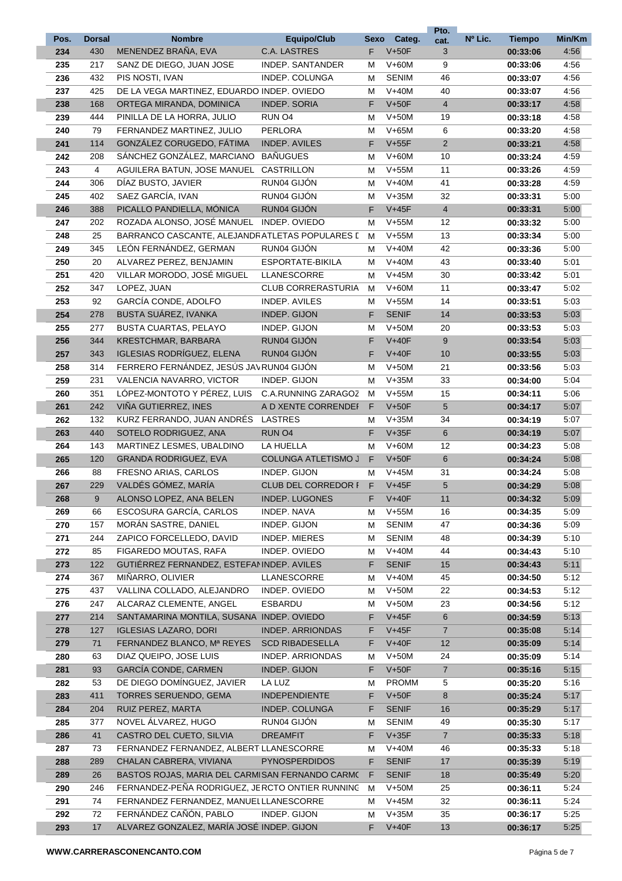|      |               |                                                 |                            |      |              | Pto.           |         |               |        |
|------|---------------|-------------------------------------------------|----------------------------|------|--------------|----------------|---------|---------------|--------|
| Pos. | <b>Dorsal</b> | <b>Nombre</b>                                   | <b>Equipo/Club</b>         | Sexo | Categ.       | cat.           | Nº Lic. | <b>Tiempo</b> | Min/Km |
| 234  | 430           | MENENDEZ BRAÑA, EVA                             | <b>C.A. LASTRES</b>        | F    | $V+50F$      | 3              |         | 00:33:06      | 4:56   |
| 235  | 217           | SANZ DE DIEGO, JUAN JOSE                        | INDEP. SANTANDER           | М    | $V+60M$      | 9              |         | 00:33:06      | 4:56   |
| 236  | 432           | PIS NOSTI, IVAN                                 | INDEP. COLUNGA             | М    | <b>SENIM</b> | 46             |         | 00:33:07      | 4:56   |
| 237  | 425           | DE LA VEGA MARTINEZ, EDUARDO INDEP. OVIEDO      |                            | М    | $V+40M$      | 40             |         | 00:33:07      | 4:56   |
| 238  | 168           | ORTEGA MIRANDA, DOMINICA                        | <b>INDEP. SORIA</b>        | F    | $V+50F$      | $\overline{4}$ |         | 00:33:17      | 4:58   |
| 239  | 444           | PINILLA DE LA HORRA, JULIO                      | RUN O <sub>4</sub>         | м    | $V+50M$      | 19             |         | 00:33:18      | 4:58   |
| 240  | 79            | FERNANDEZ MARTINEZ, JULIO                       | <b>PERLORA</b>             | M    | $V+65M$      | 6              |         | 00:33:20      | 4:58   |
| 241  | 114           | GONZÁLEZ CORUGEDO, FÁTIMA                       | <b>INDEP. AVILES</b>       | F    | $V+55F$      | $\overline{2}$ |         | 00:33:21      | 4:58   |
| 242  | 208           | SÁNCHEZ GONZÁLEZ, MARCIANO                      | <b>BAÑUGUES</b>            | M    | $V+60M$      | 10             |         | 00:33:24      | 4:59   |
| 243  | 4             | AGUILERA BATUN, JOSE MANUEL                     | <b>CASTRILLON</b>          | М    | $V+55M$      | 11             |         | 00:33:26      | 4:59   |
| 244  | 306           | DÍAZ BUSTO, JAVIER                              | RUN04 GIJÓN                | м    | $V+40M$      | 41             |         | 00:33:28      | 4:59   |
| 245  | 402           | SAEZ GARCÍA, IVAN                               | RUN04 GIJÓN                | м    | $V+35M$      | 32             |         | 00:33:31      | 5:00   |
| 246  | 388           | PICALLO PANDIELLA, MÓNICA                       | RUN04 GIJÓN                | F.   | $V+45F$      | $\overline{4}$ |         | 00:33:31      | 5:00   |
| 247  | 202           | ROZADA ALONSO, JOSÉ MANUEL                      | INDEP. OVIEDO              | М    | $V+55M$      | 12             |         | 00:33:32      | 5:00   |
| 248  | 25            | BARRANCO CASCANTE, ALEJANDRATLETAS POPULARES I  |                            | м    | $V+55M$      | 13             |         | 00:33:34      | 5:00   |
| 249  | 345           | LEÓN FERNÁNDEZ, GERMAN                          | RUN04 GIJÓN                |      | $V+40M$      | 42             |         |               | 5:00   |
|      |               |                                                 |                            | м    |              | 43             |         | 00:33:36      |        |
| 250  | 20            | ALVAREZ PEREZ, BENJAMIN                         | ESPORTATE-BIKILA           | м    | $V+40M$      |                |         | 00:33:40      | 5:01   |
| 251  | 420           | VILLAR MORODO, JOSÉ MIGUEL                      | LLANESCORRE                | м    | $V+45M$      | 30             |         | 00:33:42      | 5:01   |
| 252  | 347           | LOPEZ, JUAN                                     | <b>CLUB CORRERASTURIA</b>  | м    | $V+60M$      | 11             |         | 00:33:47      | 5:02   |
| 253  | 92            | GARCÍA CONDE, ADOLFO                            | <b>INDEP. AVILES</b>       | М    | $V+55M$      | 14             |         | 00:33:51      | 5:03   |
| 254  | 278           | <b>BUSTA SUÁREZ, IVANKA</b>                     | <b>INDEP. GIJON</b>        | F    | <b>SENIF</b> | 14             |         | 00:33:53      | 5:03   |
| 255  | 277           | <b>BUSTA CUARTAS, PELAYO</b>                    | <b>INDEP. GIJON</b>        | м    | $V+50M$      | 20             |         | 00:33:53      | 5:03   |
| 256  | 344           | KRESTCHMAR, BARBARA                             | RUN04 GIJÓN                | F    | $V+40F$      | 9              |         | 00:33:54      | 5:03   |
| 257  | 343           | IGLESIAS RODRÍGUEZ, ELENA                       | <b>RUN04 GIJON</b>         | F    | $V+40F$      | 10             |         | 00:33:55      | 5:03   |
| 258  | 314           | FERRERO FERNÁNDEZ, JESÚS JAVRUN04 GIJÓN         |                            | M    | $V+50M$      | 21             |         | 00:33:56      | 5:03   |
| 259  | 231           | VALENCIA NAVARRO, VICTOR                        | INDEP. GIJON               | м    | $V+35M$      | 33             |         | 00:34:00      | 5:04   |
| 260  | 351           | LÓPEZ-MONTOTO Y PÉREZ, LUIS                     | C.A.RUNNING ZARAGOZ        | м    | $V+55M$      | 15             |         | 00:34:11      | 5:06   |
| 261  | 242           | VIÑA GUTIERREZ, INES                            | A D XENTE CORRENDEI        | F    | $V+50F$      | 5              |         | 00:34:17      | 5:07   |
| 262  | 132           | KURZ FERRANDO, JUAN ANDRÉS                      | <b>LASTRES</b>             | М    | $V+35M$      | 34             |         | 00:34:19      | 5:07   |
| 263  | 440           | SOTELO RODRIGUEZ, ANA                           | RUN O <sub>4</sub>         | F    | $V+35F$      | 6              |         | 00:34:19      | 5:07   |
| 264  | 143           | MARTINEZ LESMES, UBALDINO                       | LA HUELLA                  | м    | $V+60M$      | 12             |         | 00:34:23      | 5:08   |
| 265  | 120           | <b>GRANDA RODRIGUEZ, EVA</b>                    | <b>COLUNGA ATLETISMO J</b> | F    | $V+50F$      | 6              |         | 00:34:24      | 5:08   |
| 266  | 88            | FRESNO ARIAS, CARLOS                            | INDEP. GIJON               | м    | $V+45M$      | 31             |         | 00:34:24      | 5:08   |
| 267  | 229           | VALDÉS GÓMEZ, MARÍA                             | CLUB DEL CORREDOR I        | F.   | $V+45F$      | 5              |         | 00:34:29      | 5:08   |
| 268  | 9             | ALONSO LOPEZ, ANA BELEN                         | INDEP. LUGONES             | F    | $V+40F$      | 11             |         | 00:34:32      | 5:09   |
| 269  | 66            | ESCOSURA GARCÍA, CARLOS                         | INDEP. NAVA                | м    | $V+55M$      | 16             |         | 00:34:35      | 5:09   |
| 270  | 157           | MORAN SASTRE, DANIEL                            | INDEP. GIJON               | м    | <b>SENIM</b> | 47             |         | 00:34:36      | 5:09   |
| 271  | 244           | ZAPICO FORCELLEDO, DAVID                        | <b>INDEP. MIERES</b>       | м    | <b>SENIM</b> | 48             |         | 00:34:39      | 5:10   |
| 272  | 85            | FIGAREDO MOUTAS, RAFA                           | INDEP. OVIEDO              | М    | $V+40M$      | 44             |         | 00:34:43      | 5:10   |
| 273  | 122           | GUTIÉRREZ FERNANDEZ, ESTEFANINDEP. AVILES       |                            | F.   | <b>SENIF</b> | 15             |         | 00:34:43      | 5:11   |
|      | 367           | MIÑARRO, OLIVIER                                | LLANESCORRE                |      | $V+40M$      | 45             |         |               | 5:12   |
| 274  |               |                                                 |                            | М    |              |                |         | 00:34:50      |        |
| 275  | 437           | VALLINA COLLADO, ALEJANDRO                      | INDEP. OVIEDO              | м    | $V+50M$      | 22             |         | 00:34:53      | 5:12   |
| 276  | 247           | ALCARAZ CLEMENTE, ANGEL                         | <b>ESBARDU</b>             | м    | $V+50M$      | 23             |         | 00:34:56      | 5:12   |
| 277  | 214           | SANTAMARINA MONTILA, SUSANA INDEP. OVIEDO       |                            | F.   | $V+45F$      | 6              |         | 00:34:59      | 5:13   |
| 278  | 127           | <b>IGLESIAS LAZARO, DORI</b>                    | <b>INDEP. ARRIONDAS</b>    | F    | $V+45F$      | $\overline{7}$ |         | 00:35:08      | 5:14   |
| 279  | 71            | FERNANDEZ BLANCO, Mª REYES                      | <b>SCD RIBADESELLA</b>     | F.   | $V+40F$      | 12             |         | 00:35:09      | 5:14   |
| 280  | 63            | DIAZ QUEIPO, JOSE LUIS                          | INDEP. ARRIONDAS           | м    | $V+50M$      | 24             |         | 00:35:09      | 5:14   |
| 281  | 93            | GARCÍA CONDE, CARMEN                            | INDEP. GIJON               | F    | $V+50F$      | $\overline{7}$ |         | 00:35:16      | 5:15   |
| 282  | 53            | DE DIEGO DOMÍNGUEZ, JAVIER                      | LA LUZ                     | м    | <b>PROMM</b> | 5              |         | 00:35:20      | 5:16   |
| 283  | 411           | <b>TORRES SERUENDO, GEMA</b>                    | <b>INDEPENDIENTE</b>       | F    | $V+50F$      | 8              |         | 00:35:24      | 5:17   |
| 284  | 204           | RUIZ PEREZ, MARTA                               | INDEP. COLUNGA             | F    | <b>SENIF</b> | 16             |         | 00:35:29      | 5:17   |
| 285  | 377           | NOVEL ÁLVAREZ, HUGO                             | RUN04 GIJÓN                | М    | SENIM        | 49             |         | 00:35:30      | 5:17   |
| 286  | 41            | CASTRO DEL CUETO, SILVIA                        | <b>DREAMFIT</b>            | F.   | $V+35F$      | $\overline{7}$ |         | 00:35:33      | 5:18   |
| 287  | 73            | FERNANDEZ FERNANDEZ, ALBERT LLANESCORRE         |                            | м    | $V+40M$      | 46             |         | 00:35:33      | 5:18   |
| 288  | 289           | CHALAN CABRERA, VIVIANA                         | <b>PYNOSPERDIDOS</b>       | F.   | <b>SENIF</b> | 17             |         | 00:35:39      | 5:19   |
| 289  | 26            | BASTOS ROJAS, MARIA DEL CARMISAN FERNANDO CARMO |                            | F    | <b>SENIF</b> | 18             |         | 00:35:49      | 5:20   |
| 290  | 246           | FERNANDEZ-PEÑA RODRIGUEZ, JERCTO ONTIER RUNNINC |                            | м    | V+50M        | 25             |         | 00:36:11      | 5:24   |
| 291  | 74            | FERNANDEZ FERNANDEZ, MANUEL LLANESCORRE         |                            | м    | $V+45M$      | 32             |         | 00:36:11      | 5:24   |
| 292  | 72            | FERNÁNDEZ CAÑÓN, PABLO                          | INDEP. GIJON               | м    | $V+35M$      | 35             |         | 00:36:17      | 5:25   |
| 293  | 17            | ALVAREZ GONZALEZ, MARÍA JOSÉ INDEP. GIJON       |                            | F.   | $V+40F$      | 13             |         | 00:36:17      | 5:25   |
|      |               |                                                 |                            |      |              |                |         |               |        |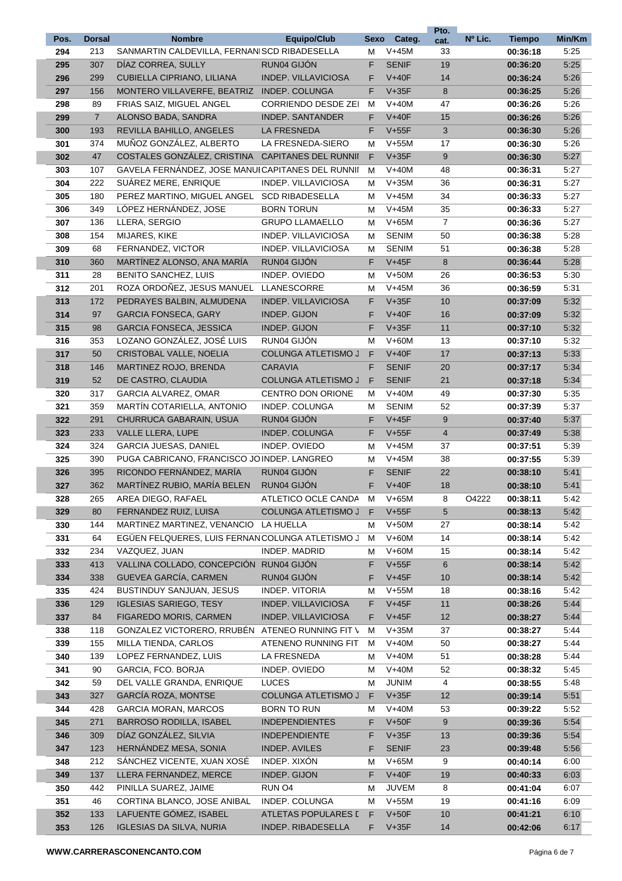|      |                |                                                  |                             |      |              | Pto.           |         |               |        |
|------|----------------|--------------------------------------------------|-----------------------------|------|--------------|----------------|---------|---------------|--------|
| Pos. | <b>Dorsal</b>  | <b>Nombre</b>                                    | <b>Equipo/Club</b>          | Sexo | Categ.       | cat.           | Nº Lic. | <b>Tiempo</b> | Min/Km |
| 294  | 213            | SANMARTIN CALDEVILLA, FERNANISCD RIBADESELLA     |                             | Μ    | $V+45M$      | 33             |         | 00:36:18      | 5:25   |
| 295  | 307            | DÍAZ CORREA, SULLY                               | RUN04 GIJÓN                 | F    | <b>SENIF</b> | 19             |         | 00:36:20      | 5:25   |
| 296  | 299            | <b>CUBIELLA CIPRIANO, LILIANA</b>                | <b>INDEP. VILLAVICIOSA</b>  | F    | $V+40F$      | 14             |         | 00:36:24      | 5:26   |
| 297  | 156            | MONTERO VILLAVERFE, BEATRIZ INDEP. COLUNGA       |                             | F.   | $V+35F$      | 8              |         | 00:36:25      | 5:26   |
| 298  | 89             | FRIAS SAIZ, MIGUEL ANGEL                         | <b>CORRIENDO DESDE ZEI</b>  | М    | $V+40M$      | 47             |         | 00:36:26      | 5:26   |
| 299  | $\overline{7}$ | ALONSO BADA, SANDRA                              | <b>INDEP. SANTANDER</b>     | F.   | $V+40F$      | 15             |         | 00:36:26      | 5:26   |
| 300  | 193            | REVILLA BAHILLO, ANGELES                         | LA FRESNEDA                 | F    | $V+55F$      | 3              |         | 00:36:30      | 5:26   |
| 301  | 374            | MUÑOZ GONZÁLEZ, ALBERTO                          | LA FRESNEDA-SIERO           | М    | $V+55M$      | 17             |         | 00:36:30      | 5:26   |
| 302  | 47             | COSTALES GONZÁLEZ, CRISTINA                      | <b>CAPITANES DEL RUNNII</b> | F    | $V+35F$      | 9              |         | 00:36:30      | 5:27   |
| 303  | 107            | GAVELA FERNÁNDEZ. JOSE MANUICAPITANES DEL RUNNII |                             | М    | $V+40M$      | 48             |         | 00:36:31      | 5:27   |
| 304  | 222            | SUÁREZ MERE, ENRIQUE                             | INDEP. VILLAVICIOSA         | М    | $V+35M$      | 36             |         | 00:36:31      | 5:27   |
| 305  | 180            | PEREZ MARTINO, MIGUEL ANGEL                      | <b>SCD RIBADESELLA</b>      | М    | $V+45M$      | 34             |         | 00:36:33      | 5:27   |
| 306  | 349            | LÓPEZ HERNÁNDEZ, JOSE                            | <b>BORN TORUN</b>           | М    | $V+45M$      | 35             |         | 00:36:33      | 5:27   |
| 307  | 136            | LLERA, SERGIO                                    | <b>GRUPO LLAMAELLO</b>      | М    | $V+65M$      | $\overline{7}$ |         | 00:36:36      | 5:27   |
| 308  | 154            | MIJARES, KIKE                                    | INDEP. VILLAVICIOSA         | М    | <b>SENIM</b> | 50             |         | 00:36:38      | 5:28   |
| 309  | 68             | FERNANDEZ, VICTOR                                | INDEP. VILLAVICIOSA         | М    | <b>SENIM</b> | 51             |         | 00:36:38      | 5:28   |
| 310  | 360            | MARTINEZ ALONSO, ANA MARIA                       | RUN04 GIJÓN                 | F    | $V+45F$      | 8              |         | 00:36:44      | 5:28   |
| 311  | 28             | <b>BENITO SANCHEZ, LUIS</b>                      | INDEP. OVIEDO               | М    | $V+50M$      | 26             |         | 00:36:53      | 5:30   |
| 312  | 201            | ROZA ORDOÑEZ. JESUS MANUEL                       | LLANESCORRE                 | Μ    | $V+45M$      | 36             |         | 00:36:59      | 5:31   |
| 313  | 172            | PEDRAYES BALBIN, ALMUDENA                        | <b>INDEP. VILLAVICIOSA</b>  | F    | $V+35F$      | 10             |         | 00:37:09      | 5:32   |
| 314  | 97             | <b>GARCIA FONSECA, GARY</b>                      | <b>INDEP. GIJON</b>         | F    | $V+40F$      | 16             |         | 00:37:09      | 5:32   |
| 315  | 98             | <b>GARCIA FONSECA, JESSICA</b>                   | <b>INDEP. GIJON</b>         | F    | $V+35F$      | 11             |         | 00:37:10      | 5:32   |
| 316  | 353            | LOZANO GONZÁLEZ, JOSÉ LUIS                       | RUN04 GIJÓN                 | М    | $V+60M$      | 13             |         | 00:37:10      | 5:32   |
| 317  | 50             | CRISTOBAL VALLE, NOELIA                          | <b>COLUNGA ATLETISMO J</b>  | F    | $V+40F$      | 17             |         | 00:37:13      | 5:33   |
| 318  | 146            | <b>MARTINEZ ROJO, BRENDA</b>                     | <b>CARAVIA</b>              | F    | <b>SENIF</b> | 20             |         | 00:37:17      | 5:34   |
| 319  | 52             | DE CASTRO, CLAUDIA                               | <b>COLUNGA ATLETISMO J</b>  | F    | <b>SENIF</b> | 21             |         | 00:37:18      | 5:34   |
| 320  | 317            | GARCIA ALVAREZ, OMAR                             | <b>CENTRO DON ORIONE</b>    | Μ    | $V+40M$      | 49             |         | 00:37:30      | 5:35   |
| 321  | 359            | <b>MARTIN COTARIELLA, ANTONIO</b>                | INDEP. COLUNGA              | М    | <b>SENIM</b> | 52             |         | 00:37:39      | 5:37   |
| 322  | 291            | CHURRUCA GABARAIN, USUA                          | RUN04 GIJÓN                 | F    | $V+45F$      | 9              |         | 00:37:40      | 5:37   |
| 323  | 233            | <b>VALLE LLERA, LUPE</b>                         | INDEP. COLUNGA              | F    | $V+55F$      | $\overline{4}$ |         | 00:37:49      | 5:38   |
| 324  | 324            | <b>GARCIA JUESAS, DANIEL</b>                     | INDEP. OVIEDO               | М    | $V+45M$      | 37             |         | 00:37:51      | 5:39   |
| 325  | 390            | PUGA CABRICANO, FRANCISCO JO INDEP. LANGREO      |                             | М    | $V+45M$      | 38             |         | 00:37:55      | 5:39   |
| 326  | 395            | RICONDO FERNÁNDEZ, MARÍA                         | RUN04 GIJÓN                 | F    | <b>SENIF</b> | 22             |         | 00:38:10      | 5:41   |
| 327  | 362            | MARTÍNEZ RUBIO, MARÍA BELEN                      | RUN04 GIJÓN                 | F    | $V+40F$      | 18             |         | 00:38:10      | 5:41   |
| 328  | 265            | AREA DIEGO, RAFAEL                               | ATLETICO OCLE CANDA         | M    | $V+65M$      | 8              | O4222   | 00:38:11      | 5:42   |
| 329  | 80             | FERNANDEZ RUIZ, LUISA                            | <b>COLUNGA ATLETISMO J</b>  | F    | $V+55F$      | 5              |         | 00:38:13      | 5:42   |
| 330  | 144            | MARTINEZ MARTINEZ, VENANCIO LA HUELLA            |                             | Μ    | $V+50M$      | 27             |         | 00:38:14      | 5:42   |
| 331  | 64             | EGÜEN FELQUERES, LUIS FERNAN COLUNGA ATLETISMO J |                             | M    | $V+60M$      | 14             |         | 00:38:14      | 5:42   |
| 332  | 234            | VAZQUEZ, JUAN                                    | INDEP. MADRID               | Μ    | $V+60M$      | 15             |         | 00:38:14      | 5:42   |
| 333  | 413            | VALLINA COLLADO, CONCEPCIÓN RUN04 GIJÓN          |                             | F    | $V+55F$      | 6              |         | 00:38:14      | 5:42   |
| 334  | 338            | GUEVEA GARCÍA, CARMEN                            | RUN04 GIJÓN                 | F    | $V+45F$      | 10             |         | 00:38:14      | 5:42   |
| 335  | 424            | <b>BUSTINDUY SANJUAN, JESUS</b>                  | <b>INDEP. VITORIA</b>       | M    | $V+55M$      | 18             |         | 00:38:16      | 5:42   |
| 336  | 129            | <b>IGLESIAS SARIEGO, TESY</b>                    | INDEP. VILLAVICIOSA         | F.   | $V+45F$      | 11             |         | 00:38:26      | 5:44   |
| 337  | 84             | FIGAREDO MORIS, CARMEN                           | INDEP. VILLAVICIOSA         | F    | $V+45F$      | 12             |         | 00:38:27      | 5:44   |
| 338  | 118            | GONZALEZ VICTORERO, RRUBEN                       | ATENEO RUNNING FIT \        | М    | $V+35M$      | 37             |         | 00:38:27      | 5:44   |
| 339  | 155            | MILLA TIENDA, CARLOS                             | ATENENO RUNNING FIT         | м    | $V+40M$      | 50             |         | 00:38:27      | 5:44   |
| 340  | 139            | LOPEZ FERNANDEZ, LUIS                            | LA FRESNEDA                 | Μ    | $V+40M$      | 51             |         | 00:38:28      | 5:44   |
| 341  | 90             | GARCIA, FCO. BORJA                               | INDEP. OVIEDO               | Μ    | $V+40M$      | 52             |         | 00:38:32      | 5:45   |
| 342  | 59             | DEL VALLE GRANDA, ENRIQUE                        | <b>LUCES</b>                | Μ    | <b>JUNIM</b> | 4              |         | 00:38:55      | 5:48   |
| 343  | 327            | GARCÍA ROZA, MONTSE                              | <b>COLUNGA ATLETISMO J</b>  | F.   | $V+35F$      | 12             |         | 00:39:14      | 5:51   |
| 344  | 428            | <b>GARCIA MORAN, MARCOS</b>                      | <b>BORN TO RUN</b>          | Μ    | $V+40M$      | 53             |         | 00:39:22      | 5:52   |
| 345  | 271            | BARROSO RODILLA, ISABEL                          | <b>INDEPENDIENTES</b>       | F.   | $V+50F$      | 9              |         | 00:39:36      | 5:54   |
| 346  | 309            | DÍAZ GONZÁLEZ, SILVIA                            | <b>INDEPENDIENTE</b>        | F    | $V+35F$      | 13             |         | 00:39:36      | 5:54   |
| 347  | 123            | HERNÁNDEZ MESA, SONIA                            | <b>INDEP. AVILES</b>        | F    | <b>SENIF</b> | 23             |         | 00:39:48      | 5:56   |
| 348  | 212            | SÁNCHEZ VICENTE, XUAN XOSÉ                       | INDEP. XIXÓN                | Μ    | $V+65M$      | 9              |         | 00:40:14      | 6:00   |
| 349  | 137            | LLERA FERNANDEZ, MERCE                           | INDEP. GIJON                | F.   | $V+40F$      | 19             |         | 00:40:33      | 6:03   |
| 350  | 442            | PINILLA SUAREZ, JAIME                            | RUN O <sub>4</sub>          | Μ    | <b>JUVEM</b> | 8              |         | 00:41:04      | 6:07   |
| 351  | 46             | CORTINA BLANCO, JOSE ANIBAL                      | INDEP. COLUNGA              | М    | $V+55M$      | 19             |         | 00:41:16      | 6:09   |
| 352  | 133            | LAFUENTE GÓMEZ, ISABEL                           | ATLETAS POPULARES I         | F    | $V+50F$      | 10             |         | 00:41:21      | 6:10   |
| 353  | 126            | <b>IGLESIAS DA SILVA, NURIA</b>                  | INDEP. RIBADESELLA          | F.   | $V+35F$      | 14             |         | 00:42:06      | 6:17   |